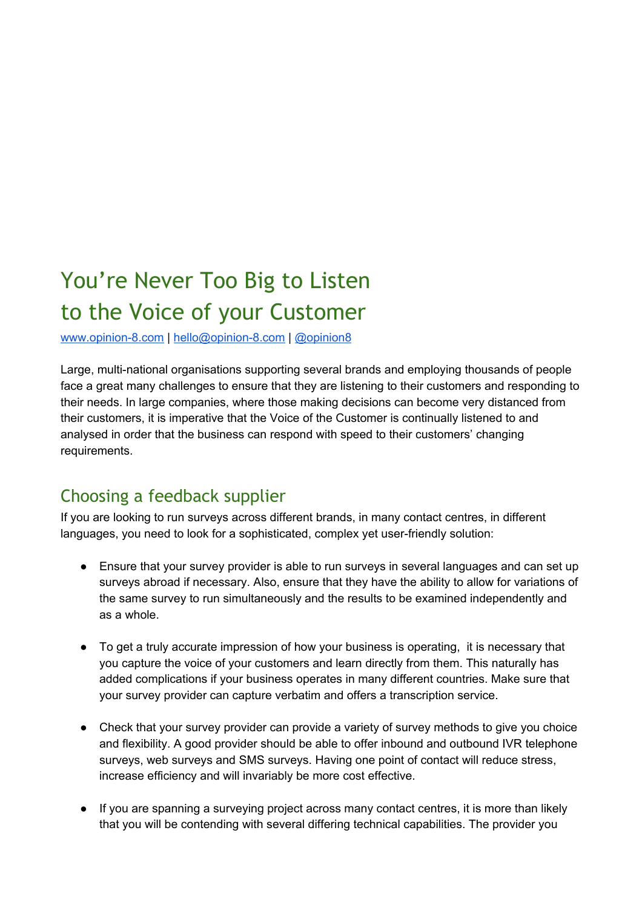## You're Never Too Big to Listen to the Voice of your Customer

www.opinion-8.com | hello@opinion-8.com | [@opinion8](https://twitter.com/opinion8)

Large, multi-national organisations supporting several brands and employing thousands of people face a great many challenges to ensure that they are listening to their customers and responding to their needs. In large companies, where those making decisions can become very distanced from their customers, it is imperative that the Voice of the Customer is continually listened to and analysed in order that the business can respond with speed to their customers' changing requirements.

## Choosing a feedback supplier

If you are looking to run surveys across different brands, in many contact centres, in different languages, you need to look for a sophisticated, complex yet user-friendly solution:

- Ensure that your survey provider is able to run surveys in several languages and can set up surveys abroad if necessary. Also, ensure that they have the ability to allow for variations of the same survey to run simultaneously and the results to be examined independently and as a whole.
- To get a truly accurate impression of how your business is operating, it is necessary that you capture the voice of your customers and learn directly from them. This naturally has added complications if your business operates in many different countries. Make sure that your survey provider can capture verbatim and offers a transcription service.
- Check that your survey provider can provide a variety of survey methods to give you choice and flexibility. A good provider should be able to offer inbound and outbound IVR telephone surveys, web surveys and SMS surveys. Having one point of contact will reduce stress, increase efficiency and will invariably be more cost effective.
- If you are spanning a surveying project across many contact centres, it is more than likely that you will be contending with several differing technical capabilities. The provider you